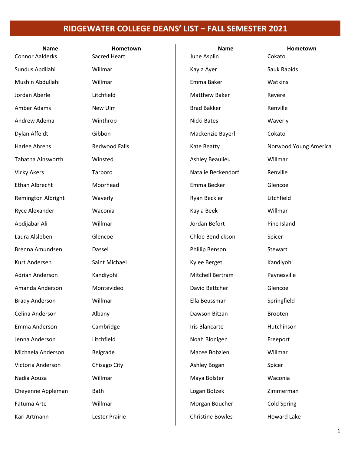| <b>Name</b>            | Hometown             | <b>Name</b>             | Hometown              |
|------------------------|----------------------|-------------------------|-----------------------|
| <b>Connor Aalderks</b> | Sacred Heart         | June Asplin             | Cokato                |
| Sundus Abdilahi        | Willmar              | Kayla Ayer              | Sauk Rapids           |
| Mushin Abdullahi       | Willmar              | Emma Baker              | Watkins               |
| Jordan Aberle          | Litchfield           | <b>Matthew Baker</b>    | Revere                |
| Amber Adams            | New Ulm              | <b>Brad Bakker</b>      | Renville              |
| Andrew Adema           | Winthrop             | Nicki Bates             | Waverly               |
| Dylan Affeldt          | Gibbon               | Mackenzie Bayerl        | Cokato                |
| Harlee Ahrens          | <b>Redwood Falls</b> | Kate Beatty             | Norwood Young America |
| Tabatha Ainsworth      | Winsted              | Ashley Beaulieu         | Willmar               |
| <b>Vicky Akers</b>     | Tarboro              | Natalie Beckendorf      | Renville              |
| <b>Ethan Albrecht</b>  | Moorhead             | Emma Becker             | Glencoe               |
| Remington Albright     | Waverly              | Ryan Beckler            | Litchfield            |
| Ryce Alexander         | Waconia              | Kayla Beek              | Willmar               |
| Abdijabar Ali          | Willmar              | Jordan Befort           | Pine Island           |
| Laura Alsleben         | Glencoe              | Chloe Bendickson        | Spicer                |
| Brenna Amundsen        | Dassel               | Phillip Benson          | Stewart               |
| Kurt Andersen          | Saint Michael        | Kylee Berget            | Kandiyohi             |
| <b>Adrian Anderson</b> | Kandiyohi            | Mitchell Bertram        | Paynesville           |
| Amanda Anderson        | Montevideo           | David Bettcher          | Glencoe               |
| <b>Brady Anderson</b>  | Willmar              | Ella Beussman           | Springfield           |
| Celina Anderson        | Albany               | Dawson Bitzan           | Brooten               |
| Emma Anderson          | Cambridge            | <b>Iris Blancarte</b>   | Hutchinson            |
| Jenna Anderson         | Litchfield           | Noah Blonigen           | Freeport              |
| Michaela Anderson      | Belgrade             | Macee Bobzien           | Willmar               |
| Victoria Anderson      | Chisago City         | Ashley Bogan            | Spicer                |
| Nadia Aouza            | Willmar              | Maya Bolster            | Waconia               |
| Cheyenne Appleman      | Bath                 | Logan Botzek            | Zimmerman             |
| Fatuma Arte            | Willmar              | Morgan Boucher          | <b>Cold Spring</b>    |
| Kari Artmann           | Lester Prairie       | <b>Christine Bowles</b> | <b>Howard Lake</b>    |
|                        |                      |                         |                       |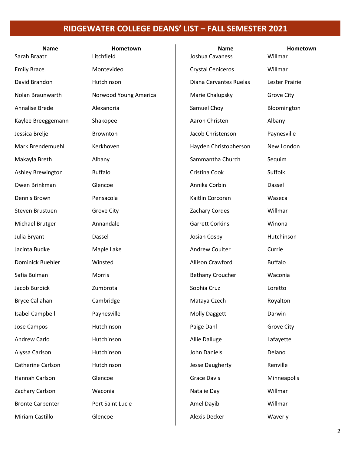| <b>Name</b><br>Sarah Braatz | Hometown<br>Litchfield | <b>Name</b><br>Joshua Cavaness | Hometown<br>Willmar |
|-----------------------------|------------------------|--------------------------------|---------------------|
| <b>Emily Brace</b>          | Montevideo             | <b>Crystal Ceniceros</b>       | Willmar             |
| David Brandon               | Hutchinson             | Diana Cervantes Ruelas         | Lester Prairie      |
| Nolan Braunwarth            | Norwood Young America  | Marie Chalupsky                | <b>Grove City</b>   |
| Annalise Brede              | Alexandria             | Samuel Choy                    | Bloomington         |
| Kaylee Breeggemann          | Shakopee               | Aaron Christen                 | Albany              |
| Jessica Brelje              | Brownton               | Jacob Christenson              | Paynesville         |
| Mark Brendemuehl            | Kerkhoven              | Hayden Christopherson          | New London          |
| Makayla Breth               | Albany                 | Sammantha Church               | Sequim              |
| Ashley Brewington           | <b>Buffalo</b>         | Cristina Cook                  | Suffolk             |
| Owen Brinkman               | Glencoe                | Annika Corbin                  | Dassel              |
| Dennis Brown                | Pensacola              | Kaitlin Corcoran               | Waseca              |
| Steven Brustuen             | <b>Grove City</b>      | <b>Zachary Cordes</b>          | Willmar             |
| Michael Brutger             | Annandale              | <b>Garrett Corkins</b>         | Winona              |
| Julia Bryant                | Dassel                 | Josiah Cosby                   | Hutchinson          |
| Jacinta Budke               | Maple Lake             | <b>Andrew Coulter</b>          | Currie              |
| Dominick Buehler            | Winsted                | Allison Crawford               | <b>Buffalo</b>      |
| Safia Bulman                | Morris                 | <b>Bethany Croucher</b>        | Waconia             |
| Jacob Burdick               | Zumbrota               | Sophia Cruz                    | Loretto             |
| Bryce Callahan              | Cambridge              | Mataya Czech                   | Royalton            |
| <b>Isabel Campbell</b>      | Paynesville            | <b>Molly Daggett</b>           | Darwin              |
| Jose Campos                 | Hutchinson             | Paige Dahl                     | <b>Grove City</b>   |
| Andrew Carlo                | Hutchinson             | Allie Dalluge                  | Lafayette           |
| Alyssa Carlson              | Hutchinson             | John Daniels                   | Delano              |
| Catherine Carlson           | Hutchinson             | Jesse Daugherty                | Renville            |
| Hannah Carlson              | Glencoe                | <b>Grace Davis</b>             | Minneapolis         |
| Zachary Carlson             | Waconia                | Natalie Day                    | Willmar             |
| <b>Bronte Carpenter</b>     | Port Saint Lucie       | Amel Dayib                     | Willmar             |
| Miriam Castillo             | Glencoe                | Alexis Decker                  | Waverly             |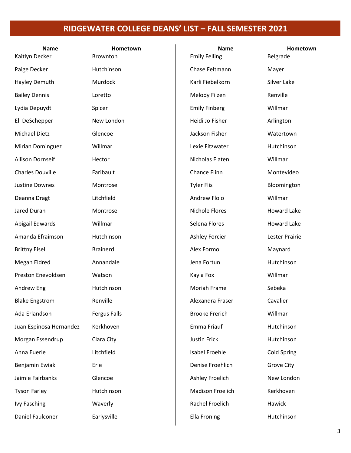| <b>Name</b>             | Hometown            | <b>Name</b>             | Hometown           |
|-------------------------|---------------------|-------------------------|--------------------|
| Kaitlyn Decker          | Brownton            | <b>Emily Felling</b>    | Belgrade           |
| Paige Decker            | Hutchinson          | Chase Feltmann          | Mayer              |
| Hayley Demuth           | Murdock             | Karli Fiebelkorn        | Silver Lake        |
| <b>Bailey Dennis</b>    | Loretto             | Melody Filzen           | Renville           |
| Lydia Depuydt           | Spicer              | <b>Emily Finberg</b>    | Willmar            |
| Eli DeSchepper          | New London          | Heidi Jo Fisher         | Arlington          |
| <b>Michael Dietz</b>    | Glencoe             | Jackson Fisher          | Watertown          |
| <b>Mirian Dominguez</b> | Willmar             | Lexie Fitzwater         | Hutchinson         |
| <b>Allison Dornseif</b> | Hector              | Nicholas Flaten         | Willmar            |
| <b>Charles Douville</b> | Faribault           | Chance Flinn            | Montevideo         |
| Justine Downes          | Montrose            | <b>Tyler Flis</b>       | Bloomington        |
| Deanna Dragt            | Litchfield          | Andrew Flolo            | Willmar            |
| Jared Duran             | Montrose            | Nichole Flores          | <b>Howard Lake</b> |
| Abigail Edwards         | Willmar             | Selena Flores           | <b>Howard Lake</b> |
| Amanda Efraimson        | Hutchinson          | Ashley Forcier          | Lester Prairie     |
| <b>Brittny Eisel</b>    | <b>Brainerd</b>     | Alex Formo              | Maynard            |
| Megan Eldred            | Annandale           | Jena Fortun             | Hutchinson         |
| Preston Enevoldsen      | Watson              | Kayla Fox               | Willmar            |
| Andrew Eng              | Hutchinson          | Moriah Frame            | Sebeka             |
| <b>Blake Engstrom</b>   | Renville            | Alexandra Fraser        | Cavalier           |
| Ada Erlandson           | <b>Fergus Falls</b> | <b>Brooke Frerich</b>   | Willmar            |
| Juan Espinosa Hernandez | Kerkhoven           | Emma Friauf             | Hutchinson         |
| Morgan Essendrup        | Clara City          | <b>Justin Frick</b>     | Hutchinson         |
| Anna Euerle             | Litchfield          | Isabel Froehle          | <b>Cold Spring</b> |
| Benjamin Ewiak          | Erie                | Denise Froehlich        | <b>Grove City</b>  |
| Jaimie Fairbanks        | Glencoe             | Ashley Froelich         | New London         |
| <b>Tyson Farley</b>     | Hutchinson          | <b>Madison Froelich</b> | Kerkhoven          |
| <b>Ivy Fasching</b>     | Waverly             | Rachel Froelich         | Hawick             |
| Daniel Faulconer        | Earlysville         | <b>Ella Froning</b>     | Hutchinson         |
|                         |                     |                         |                    |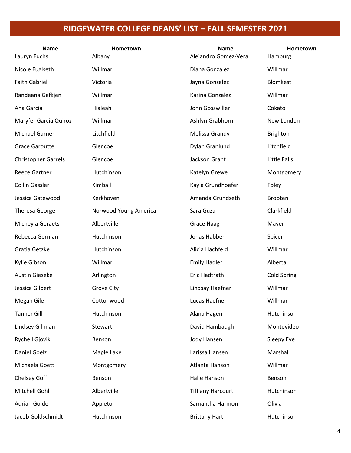| <b>Name</b><br>Lauryn Fuchs | Hometown<br>Albany    | <b>Name</b><br>Alejandro Gomez-Vera | Hometown<br>Hamburg |
|-----------------------------|-----------------------|-------------------------------------|---------------------|
|                             |                       |                                     |                     |
| Nicole Fuglseth             | Willmar               | Diana Gonzalez                      | Willmar             |
| <b>Faith Gabriel</b>        | Victoria              | Jayna Gonzalez                      | Blomkest            |
| Randeana Gafkjen            | Willmar               | Karina Gonzalez                     | Willmar             |
| Ana Garcia                  | Hialeah               | John Gosswiller                     | Cokato              |
| Maryfer Garcia Quiroz       | Willmar               | Ashlyn Grabhorn                     | New London          |
| <b>Michael Garner</b>       | Litchfield            | Melissa Grandy                      | <b>Brighton</b>     |
| <b>Grace Garoutte</b>       | Glencoe               | Dylan Granlund                      | Litchfield          |
| <b>Christopher Garrels</b>  | Glencoe               | Jackson Grant                       | <b>Little Falls</b> |
| <b>Reece Gartner</b>        | Hutchinson            | Katelyn Grewe                       | Montgomery          |
| Collin Gassler              | Kimball               | Kayla Grundhoefer                   | Foley               |
| Jessica Gatewood            | Kerkhoven             | Amanda Grundseth                    | <b>Brooten</b>      |
| <b>Theresa George</b>       | Norwood Young America | Sara Guza                           | Clarkfield          |
| Micheyla Geraets            | Albertville           | Grace Haag                          | Mayer               |
| Rebecca German              | Hutchinson            | Jonas Habben                        | Spicer              |
| Gratia Getzke               | Hutchinson            | Alicia Hachfeld                     | Willmar             |
| Kylie Gibson                | Willmar               | <b>Emily Hadler</b>                 | Alberta             |
| <b>Austin Gieseke</b>       | Arlington             | Eric Hadtrath                       | <b>Cold Spring</b>  |
| Jessica Gilbert             | <b>Grove City</b>     | Lindsay Haefner                     | Willmar             |
| Megan Gile                  | Cottonwood            | Lucas Haefner                       | Willmar             |
| <b>Tanner Gill</b>          | Hutchinson            | Alana Hagen                         | Hutchinson          |
| Lindsey Gillman             | Stewart               | David Hambaugh                      | Montevideo          |
| Rycheil Gjovik              | Benson                | Jody Hansen                         | Sleepy Eye          |
| Daniel Goelz                | Maple Lake            | Larissa Hansen                      | Marshall            |
| Michaela Goettl             | Montgomery            | Atlanta Hanson                      | Willmar             |
| Chelsey Goff                | Benson                | Halle Hanson                        | Benson              |
| Mitchell Gohl               | Albertville           | <b>Tiffiany Harcourt</b>            | Hutchinson          |
| Adrian Golden               | Appleton              | Samantha Harmon                     | Olivia              |
| Jacob Goldschmidt           | Hutchinson            | <b>Brittany Hart</b>                | Hutchinson          |
|                             |                       |                                     |                     |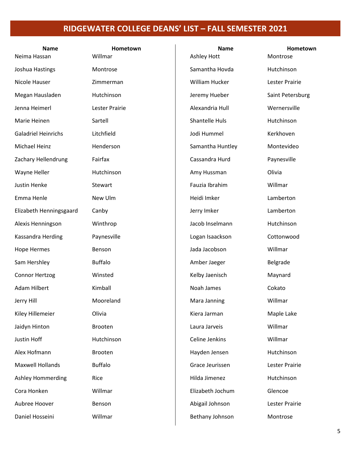| <b>Name</b><br>Neima Hassan | Hometown<br>Willmar | <b>Name</b><br>Ashley Hott | Hometown<br>Montrose |
|-----------------------------|---------------------|----------------------------|----------------------|
| Joshua Hastings             | Montrose            | Samantha Hovda             | Hutchinson           |
| Nicole Hauser               | Zimmerman           | William Hucker             | Lester Prairie       |
| Megan Hausladen             | Hutchinson          | Jeremy Hueber              | Saint Petersburg     |
| Jenna Heimerl               | Lester Prairie      | Alexandria Hull            | Wernersville         |
| Marie Heinen                | Sartell             | <b>Shantelle Huls</b>      | Hutchinson           |
| <b>Galadriel Heinrichs</b>  | Litchfield          | Jodi Hummel                | Kerkhoven            |
| Michael Heinz               | Henderson           | Samantha Huntley           | Montevideo           |
| Zachary Hellendrung         | Fairfax             | Cassandra Hurd             | Paynesville          |
| Wayne Heller                | Hutchinson          | Amy Hussman                | Olivia               |
| Justin Henke                | Stewart             | Fauzia Ibrahim             | Willmar              |
| Emma Henle                  | New Ulm             | Heidi Imker                | Lamberton            |
| Elizabeth Henningsgaard     | Canby               | Jerry Imker                | Lamberton            |
| Alexis Henningson           | Winthrop            | Jacob Inselmann            | Hutchinson           |
| Kassandra Herding           | Paynesville         | Logan Isaackson            | Cottonwood           |
| <b>Hope Hermes</b>          | Benson              | Jada Jacobson              | Willmar              |
| Sam Hershley                | <b>Buffalo</b>      | Amber Jaeger               | Belgrade             |
| Connor Hertzog              | Winsted             | Kelby Jaenisch             | Maynard              |
| Adam Hilbert                | Kimball             | Noah James                 | Cokato               |
| Jerry Hill                  | Mooreland           | Mara Janning               | Willmar              |
| Kiley Hillemeier            | Olivia              | Kiera Jarman               | Maple Lake           |
| Jaidyn Hinton               | Brooten             | Laura Jarveis              | Willmar              |
| Justin Hoff                 | Hutchinson          | Celine Jenkins             | Willmar              |
| Alex Hofmann                | Brooten             | Hayden Jensen              | Hutchinson           |
| <b>Maxwell Hollands</b>     | <b>Buffalo</b>      | Grace Jeurissen            | Lester Prairie       |
| <b>Ashley Hommerding</b>    | Rice                | Hilda Jimenez              | Hutchinson           |
| Cora Honken                 | Willmar             | Elizabeth Jochum           | Glencoe              |
| Aubree Hoover               | Benson              | Abigail Johnson            | Lester Prairie       |
| Daniel Hosseini             | Willmar             | Bethany Johnson            | Montrose             |
|                             |                     |                            |                      |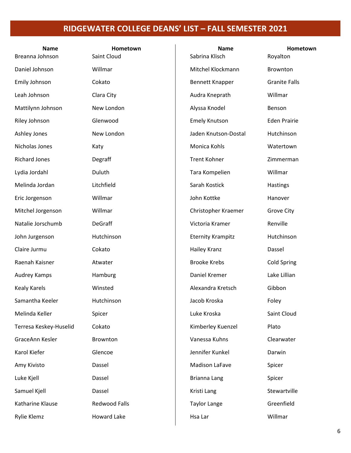| <b>Name</b><br>Breanna Johnson | Hometown<br>Saint Cloud | <b>Name</b><br>Sabrina Klisch | Hometown<br>Royalton |
|--------------------------------|-------------------------|-------------------------------|----------------------|
| Daniel Johnson                 | Willmar                 | Mitchel Klockmann             | Brownton             |
| Emily Johnson                  | Cokato                  | <b>Bennett Knapper</b>        | <b>Granite Falls</b> |
| Leah Johnson                   | Clara City              | Audra Kneprath                | Willmar              |
| Mattilynn Johnson              | New London              | Alyssa Knodel                 | Benson               |
| Riley Johnson                  | Glenwood                | <b>Emely Knutson</b>          | <b>Eden Prairie</b>  |
| Ashley Jones                   | New London              | Jaden Knutson-Dostal          | Hutchinson           |
| Nicholas Jones                 | Katy                    | Monica Kohls                  | Watertown            |
| <b>Richard Jones</b>           | Degraff                 | <b>Trent Kohner</b>           | Zimmerman            |
| Lydia Jordahl                  | Duluth                  | Tara Kompelien                | Willmar              |
| Melinda Jordan                 | Litchfield              | Sarah Kostick                 | Hastings             |
| Eric Jorgenson                 | Willmar                 | John Kottke                   | Hanover              |
| Mitchel Jorgenson              | Willmar                 | Christopher Kraemer           | <b>Grove City</b>    |
| Natalie Jorschumb              | DeGraff                 | Victoria Kramer               | Renville             |
| John Jurgenson                 | Hutchinson              | <b>Eternity Krampitz</b>      | Hutchinson           |
| Claire Jurmu                   | Cokato                  | Hailey Kranz                  | Dassel               |
| Raenah Kaisner                 | Atwater                 | <b>Brooke Krebs</b>           | <b>Cold Spring</b>   |
| Audrey Kamps                   | Hamburg                 | Daniel Kremer                 | Lake Lillian         |
| <b>Kealy Karels</b>            | Winsted                 | Alexandra Kretsch             | Gibbon               |
| Samantha Keeler                | Hutchinson              | Jacob Kroska                  | Foley                |
| Melinda Keller                 | Spicer                  | Luke Kroska                   | Saint Cloud          |
| Terresa Keskey-Huselid         | Cokato                  | Kimberley Kuenzel             | Plato                |
| GraceAnn Kesler                | Brownton                | Vanessa Kuhns                 | Clearwater           |
| Karol Kiefer                   | Glencoe                 | Jennifer Kunkel               | Darwin               |
| Amy Kivisto                    | Dassel                  | Madison LaFave                | Spicer               |
| Luke Kjell                     | Dassel                  | Brianna Lang                  | Spicer               |
| Samuel Kjell                   | Dassel                  | Kristi Lang                   | Stewartville         |
| Katharine Klause               | <b>Redwood Falls</b>    | <b>Taylor Lange</b>           | Greenfield           |
| Rylie Klemz                    | <b>Howard Lake</b>      | Hsa Lar                       | Willmar              |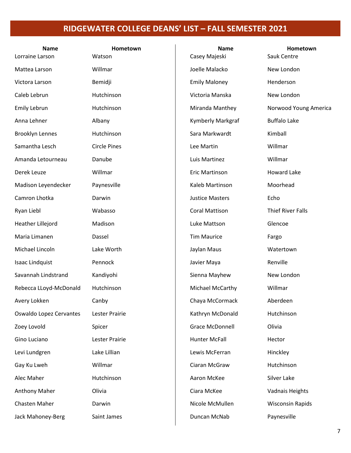| <b>Name</b><br>Lorraine Larson | Hometown<br>Watson  | <b>Name</b><br>Casey Majeski | Hometown<br>Sauk Centre  |
|--------------------------------|---------------------|------------------------------|--------------------------|
| Mattea Larson                  | Willmar             | Joelle Malacko               | New London               |
| Victora Larson                 | Bemidji             | <b>Emily Maloney</b>         | Henderson                |
| Caleb Lebrun                   | Hutchinson          | Victoria Manska              | New London               |
| Emily Lebrun                   | Hutchinson          | Miranda Manthey              | Norwood Young America    |
| Anna Lehner                    | Albany              | Kymberly Markgraf            | <b>Buffalo Lake</b>      |
| <b>Brooklyn Lennes</b>         | Hutchinson          | Sara Markwardt               | Kimball                  |
| Samantha Lesch                 | <b>Circle Pines</b> | Lee Martin                   | Willmar                  |
| Amanda Letourneau              | Danube              | Luis Martinez                | Willmar                  |
| Derek Leuze                    | Willmar             | Eric Martinson               | <b>Howard Lake</b>       |
| Madison Leyendecker            | Paynesville         | Kaleb Martinson              | Moorhead                 |
| Camron Lhotka                  | Darwin              | <b>Justice Masters</b>       | Echo                     |
| Ryan Liebl                     | Wabasso             | <b>Coral Mattison</b>        | <b>Thief River Falls</b> |
| Heather Lillejord              | Madison             | Luke Mattson                 | Glencoe                  |
| Maria Limanen                  | Dassel              | <b>Tim Maurice</b>           | Fargo                    |
| Michael Lincoln                | Lake Worth          | Jaylan Maus                  | Watertown                |
| Isaac Lindquist                | Pennock             | Javier Maya                  | Renville                 |
| Savannah Lindstrand            | Kandiyohi           | Sienna Mayhew                | New London               |
| Rebecca LLoyd-McDonald         | Hutchinson          | Michael McCarthy             | Willmar                  |
| Avery Lokken                   | Canby               | Chaya McCormack              | Aberdeen                 |
| Oswaldo Lopez Cervantes        | Lester Prairie      | Kathryn McDonald             | Hutchinson               |
| Zoey Lovold                    | Spicer              | <b>Grace McDonnell</b>       | Olivia                   |
| Gino Luciano                   | Lester Prairie      | <b>Hunter McFall</b>         | Hector                   |
| Levi Lundgren                  | Lake Lillian        | Lewis McFerran               | Hinckley                 |
| Gay Ku Lweh                    | Willmar             | Ciaran McGraw                | Hutchinson               |
| Alec Maher                     | Hutchinson          | Aaron McKee                  | Silver Lake              |
| <b>Anthony Maher</b>           | Olivia              | Ciara McKee                  | Vadnais Heights          |
| <b>Chasten Maher</b>           | Darwin              | Nicole McMullen              | <b>Wisconsin Rapids</b>  |
| Jack Mahoney-Berg              | Saint James         | Duncan McNab                 | Paynesville              |
|                                |                     |                              |                          |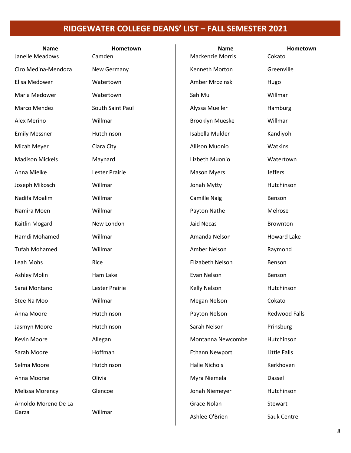| <b>Name</b><br>Janelle Meadows | Hometown<br>Camden | <b>Name</b><br><b>Mackenzie Morris</b> | Hometown<br>Cokato   |
|--------------------------------|--------------------|----------------------------------------|----------------------|
| Ciro Medina-Mendoza            | New Germany        | Kenneth Morton                         | Greenville           |
| Elisa Medower                  | Watertown          | Amber Mrozinski                        | Hugo                 |
| Maria Medower                  | Watertown          | Sah Mu                                 | Willmar              |
| Marco Mendez                   | South Saint Paul   | Alyssa Mueller                         | Hamburg              |
| Alex Merino                    | Willmar            | <b>Brooklyn Mueske</b>                 | Willmar              |
| <b>Emily Messner</b>           | Hutchinson         | Isabella Mulder                        | Kandiyohi            |
| Micah Meyer                    | Clara City         | <b>Allison Muonio</b>                  | Watkins              |
| <b>Madison Mickels</b>         | Maynard            | Lizbeth Muonio                         | Watertown            |
| Anna Mielke                    | Lester Prairie     | <b>Mason Myers</b>                     | <b>Jeffers</b>       |
| Joseph Mikosch                 | Willmar            | Jonah Mytty                            | Hutchinson           |
| Nadifa Moalim                  | Willmar            | <b>Camille Naig</b>                    | Benson               |
| Namira Moen                    | Willmar            | Payton Nathe                           | Melrose              |
| Kaitlin Mogard                 | New London         | <b>Jaid Necas</b>                      | Brownton             |
| Hamdi Mohamed                  | Willmar            | Amanda Nelson                          | <b>Howard Lake</b>   |
| <b>Tufah Mohamed</b>           | Willmar            | Amber Nelson                           | Raymond              |
| Leah Mohs                      | Rice               | Elizabeth Nelson                       | Benson               |
| <b>Ashley Molin</b>            | Ham Lake           | Evan Nelson                            | Benson               |
| Sarai Montano                  | Lester Prairie     | Kelly Nelson                           | Hutchinson           |
| Stee Na Moo                    | Willmar            | Megan Nelson                           | Cokato               |
| Anna Moore                     | Hutchinson         | Payton Nelson                          | <b>Redwood Falls</b> |
| Jasmyn Moore                   | Hutchinson         | Sarah Nelson                           | Prinsburg            |
| Kevin Moore                    | Allegan            | Montanna Newcombe                      | Hutchinson           |
| Sarah Moore                    | Hoffman            | <b>Ethann Newport</b>                  | Little Falls         |
| Selma Moore                    | Hutchinson         | <b>Halie Nichols</b>                   | Kerkhoven            |
| Anna Moorse                    | Olivia             | Myra Niemela                           | Dassel               |
| <b>Melissa Morency</b>         | Glencoe            | Jonah Niemeyer                         | Hutchinson           |
| Arnoldo Moreno De La           |                    | Grace Nolan                            | Stewart              |
| Garza                          | Willmar            | Ashlee O'Brien                         | Sauk Centre          |
|                                |                    |                                        |                      |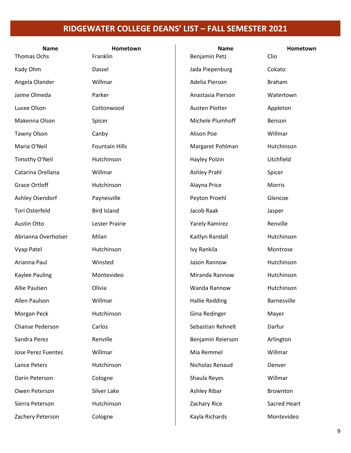| <b>Name</b><br>Thomas Ochs | Hometown<br>Franklin  | <b>Name</b><br>Benjamin Petz | Hometown<br>Clio |
|----------------------------|-----------------------|------------------------------|------------------|
| Kady Ohm                   | Dassel                | Jada Piepenburg              | Cokato           |
| Angela Olander             | Willmar               | Adelia Pierson               | <b>Braham</b>    |
| Jaime Olmeda               | Parker                | Anastasia Pierson            | Watertown        |
| Lucee Olson                | Cottonwood            | Austen Piotter               | Appleton         |
| Makenna Olson              | Spicer                | Michele Plumhoff             | Benson           |
| <b>Tawny Olson</b>         | Canby                 | Alison Poe                   | Willmar          |
| Maria O'Neil               | <b>Fountain Hills</b> | Margaret Pohlman             | Hutchinson       |
| Timothy O'Neil             | Hutchinson            | Hayley Polzin                | Litchfield       |
| Catarina Orellana          | Willmar               | <b>Ashley Prahl</b>          | Spicer           |
| <b>Grace Ortloff</b>       | Hutchinson            | Alayna Price                 | Morris           |
| Ashley Osendorf            | Paynesville           | Peyton Proehl                | Glencoe          |
| Tori Osterfeld             | <b>Bird Island</b>    | Jacob Raak                   | Jasper           |
| Austin Otto                | Lester Prairie        | <b>Yarely Ramirez</b>        | Renville         |
| Abrianna Overholser        | Milan                 | Kaitlyn Randall              | Hutchinson       |
| Vyap Patel                 | Hutchinson            | Ivy Rankila                  | Montrose         |
| Arianna Paul               | Winsted               | Jason Rannow                 | Hutchinson       |
| <b>Kaylee Pauling</b>      | Montevideo            | Miranda Rannow               | Hutchinson       |
| Allie Paulsen              | Olivia                | Wanda Rannow                 | Hutchinson       |
| Allen Paulson              | Willmar               | Hallie Redding               | Barnesville      |
| Morgan Peck                | Hutchinson            | Gina Redinger                | Mayer            |
| Chanse Pederson            | Carlos                | Sebastian Rehnelt            | Darfur           |
| Sandra Perez               | Renville              | Benjamin Reierson            | Arlington        |
| <b>Jose Perez Fuentes</b>  | Willmar               | Mia Remmel                   | Willmar          |
| Lance Peters               | Hutchinson            | Nicholas Renaud              | Denver           |
| Darin Peterson             | Cologne               | Shaula Reyes                 | Willmar          |
| Owen Peterson              | Silver Lake           | Ashley Ribar                 | Brownton         |
| Sierra Peterson            | Hutchinson            | Zachary Rice                 | Sacred Heart     |
| Zachery Peterson           | Cologne               | Kayla Richards               | Montevideo       |
|                            |                       |                              |                  |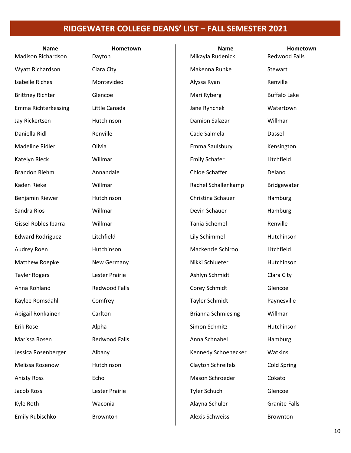| <b>Name</b><br><b>Madison Richardson</b> | Hometown<br>Dayton   | <b>Name</b><br>Mikayla Rudenick | Hometown<br><b>Redwood Falls</b> |
|------------------------------------------|----------------------|---------------------------------|----------------------------------|
| Wyatt Richardson                         | Clara City           | Makenna Runke                   | Stewart                          |
| <b>Isabelle Riches</b>                   | Montevideo           | Alyssa Ryan                     | Renville                         |
| <b>Brittney Richter</b>                  | Glencoe              | Mari Ryberg                     | <b>Buffalo Lake</b>              |
| Emma Richterkessing                      | Little Canada        | Jane Rynchek                    | Watertown                        |
| Jay Rickertsen                           | Hutchinson           | Damion Salazar                  | Willmar                          |
| Daniella Ridl                            | Renville             | Cade Salmela                    | Dassel                           |
| Madeline Ridler                          | Olivia               | Emma Saulsbury                  | Kensington                       |
| Katelyn Rieck                            | Willmar              | <b>Emily Schafer</b>            | Litchfield                       |
| <b>Brandon Riehm</b>                     | Annandale            | Chloe Schaffer                  | Delano                           |
| Kaden Rieke                              | Willmar              | Rachel Schallenkamp             | Bridgewater                      |
| Benjamin Riewer                          | Hutchinson           | Christina Schauer               | Hamburg                          |
| Sandra Rios                              | Willmar              | Devin Schauer                   | Hamburg                          |
| <b>Gissel Robles Ibarra</b>              | Willmar              | Tania Schemel                   | Renville                         |
| <b>Edward Rodriguez</b>                  | Litchfield           | Lily Schimmel                   | Hutchinson                       |
| Audrey Roen                              | Hutchinson           | Mackenzie Schiroo               | Litchfield                       |
| Matthew Roepke                           | New Germany          | Nikki Schlueter                 | Hutchinson                       |
| <b>Tayler Rogers</b>                     | Lester Prairie       | Ashlyn Schmidt                  | Clara City                       |
| Anna Rohland                             | <b>Redwood Falls</b> | Corey Schmidt                   | Glencoe                          |
| Kaylee Romsdahl                          | Comfrey              | <b>Tayler Schmidt</b>           | Paynesville                      |
| Abigail Ronkainen                        | Carlton              | <b>Brianna Schmiesing</b>       | Willmar                          |
| Erik Rose                                | Alpha                | Simon Schmitz                   | Hutchinson                       |
| Marissa Rosen                            | <b>Redwood Falls</b> | Anna Schnabel                   | Hamburg                          |
| Jessica Rosenberger                      | Albany               | Kennedy Schoenecker             | Watkins                          |
| Melissa Rosenow                          | Hutchinson           | Clayton Schreifels              | <b>Cold Spring</b>               |
| <b>Anisty Ross</b>                       | Echo                 | Mason Schroeder                 | Cokato                           |
| Jacob Ross                               | Lester Prairie       | <b>Tyler Schuch</b>             | Glencoe                          |
| Kyle Roth                                | Waconia              | Alayna Schuler                  | <b>Granite Falls</b>             |
| Emily Rubischko                          | Brownton             | <b>Alexis Schweiss</b>          | Brownton                         |
|                                          |                      |                                 |                                  |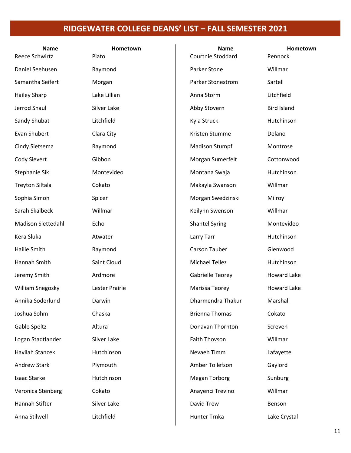| <b>Name</b><br>Reece Schwirtz | Hometown<br>Plato | <b>Name</b><br>Courtnie Stoddard | Hometown<br>Pennock |
|-------------------------------|-------------------|----------------------------------|---------------------|
| Daniel Seehusen               | Raymond           | Parker Stone                     | Willmar             |
| Samantha Seifert              | Morgan            | <b>Parker Stonestrom</b>         | Sartell             |
| <b>Hailey Sharp</b>           | Lake Lillian      | Anna Storm                       | Litchfield          |
| Jerrod Shaul                  | Silver Lake       | Abby Stovern                     | <b>Bird Island</b>  |
| Sandy Shubat                  | Litchfield        | Kyla Struck                      | Hutchinson          |
| Evan Shubert                  | Clara City        | Kristen Stumme                   | Delano              |
| Cindy Sietsema                | Raymond           | <b>Madison Stumpf</b>            | Montrose            |
| Cody Sievert                  | Gibbon            | Morgan Sumerfelt                 | Cottonwood          |
| Stephanie Sik                 | Montevideo        | Montana Swaja                    | Hutchinson          |
| <b>Treyton Siltala</b>        | Cokato            | Makayla Swanson                  | Willmar             |
| Sophia Simon                  | Spicer            | Morgan Swedzinski                | Milroy              |
| Sarah Skalbeck                | Willmar           | Keilynn Swenson                  | Willmar             |
| <b>Madison Slettedahl</b>     | Echo              | <b>Shantel Syring</b>            | Montevideo          |
| Kera Sluka                    | Atwater           | Larry Tarr                       | Hutchinson          |
| Hailie Smith                  | Raymond           | Carson Tauber                    | Glenwood            |
| Hannah Smith                  | Saint Cloud       | <b>Michael Tellez</b>            | Hutchinson          |
| Jeremy Smith                  | Ardmore           | <b>Gabrielle Teorey</b>          | <b>Howard Lake</b>  |
| William Snegosky              | Lester Prairie    | Marissa Teorey                   | <b>Howard Lake</b>  |
| Annika Soderlund              | Darwin            | Dharmendra Thakur                | Marshall            |
| Joshua Sohm                   | Chaska            | <b>Brienna Thomas</b>            | Cokato              |
| Gable Speltz                  | Altura            | Donavan Thornton                 | Screven             |
| Logan Stadtlander             | Silver Lake       | Faith Thovson                    | Willmar             |
| Havilah Stancek               | Hutchinson        | Nevaeh Timm                      | Lafayette           |
| <b>Andrew Stark</b>           | Plymouth          | Amber Tollefson                  | Gaylord             |
| <b>Isaac Starke</b>           | Hutchinson        | <b>Megan Torborg</b>             | Sunburg             |
| Veronica Stenberg             | Cokato            | Anayenci Trevino                 | Willmar             |
| Hannah Stifter                | Silver Lake       | David Trew                       | Benson              |
| Anna Stilwell                 | Litchfield        | Hunter Trnka                     | Lake Crystal        |
|                               |                   |                                  |                     |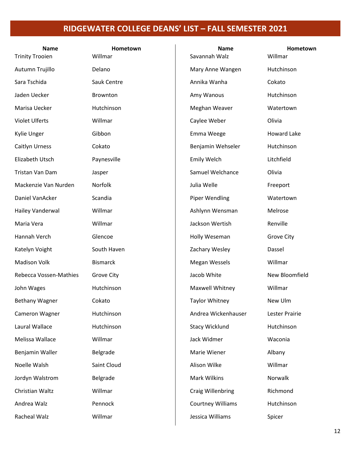| <b>Name</b><br><b>Trinity Trooien</b> | Hometown<br>Willmar | <b>Name</b><br>Savannah Walz | Hometown<br>Willmar |
|---------------------------------------|---------------------|------------------------------|---------------------|
| Autumn Trujillo                       | Delano              | Mary Anne Wangen             | Hutchinson          |
| Sara Tschida                          | Sauk Centre         | Annika Wanha                 | Cokato              |
| Jaden Uecker                          | Brownton            | Amy Wanous                   | Hutchinson          |
|                                       |                     |                              |                     |
| Marisa Uecker                         | Hutchinson          | Meghan Weaver                | Watertown           |
| <b>Violet Ulferts</b>                 | Willmar             | Caylee Weber                 | Olivia              |
| Kylie Unger                           | Gibbon              | Emma Weege                   | <b>Howard Lake</b>  |
| Caitlyn Urness                        | Cokato              | Benjamin Wehseler            | Hutchinson          |
| Elizabeth Utsch                       | Paynesville         | Emily Welch                  | Litchfield          |
| Tristan Van Dam                       | Jasper              | Samuel Welchance             | Olivia              |
| Mackenzie Van Nurden                  | Norfolk             | Julia Welle                  | Freeport            |
| Daniel VanAcker                       | Scandia             | Piper Wendling               | Watertown           |
| Hailey Vanderwal                      | Willmar             | Ashlynn Wensman              | Melrose             |
| Maria Vera                            | Willmar             | Jackson Wertish              | Renville            |
| Hannah Verch                          | Glencoe             | Holly Weseman                | <b>Grove City</b>   |
| Katelyn Voight                        | South Haven         | Zachary Wesley               | Dassel              |
| <b>Madison Volk</b>                   | <b>Bismarck</b>     | <b>Megan Wessels</b>         | Willmar             |
| Rebecca Vossen-Mathies                | <b>Grove City</b>   | Jacob White                  | New Bloomfield      |
| John Wages                            | Hutchinson          | Maxwell Whitney              | Willmar             |
| Bethany Wagner                        | Cokato              | Taylor Whitney               | New Ulm             |
| Cameron Wagner                        | Hutchinson          | Andrea Wickenhauser          | Lester Prairie      |
| Laural Wallace                        | Hutchinson          | <b>Stacy Wicklund</b>        | Hutchinson          |
| Melissa Wallace                       | Willmar             | Jack Widmer                  | Waconia             |
| Benjamin Waller                       | Belgrade            | Marie Wiener                 | Albany              |
| Noelle Walsh                          | Saint Cloud         | Alison Wilke                 | Willmar             |
| Jordyn Walstrom                       | Belgrade            | Mark Wilkins                 | Norwalk             |
| Christian Waltz                       | Willmar             | <b>Craig Willenbring</b>     | Richmond            |
| Andrea Walz                           | Pennock             | <b>Courtney Williams</b>     | Hutchinson          |
| Racheal Walz                          | Willmar             | Jessica Williams             | Spicer              |
|                                       |                     |                              |                     |